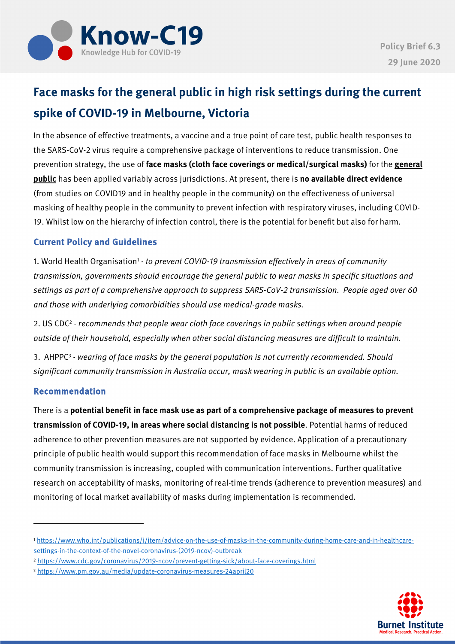

# **Face masks for the general public in high risk settings during the current spike of COVID-19 in Melbourne, Victoria**

In the absence of effective treatments, a vaccine and a true point of care test, public health responses to the SARS-CoV-2 virus require a comprehensive package of interventions to reduce transmission. One prevention strategy, the use of **face masks (cloth face coverings or medical/surgical masks)** for the **general public** has been applied variably across jurisdictions. At present, there is **no available direct evidence** (from studies on COVID19 and in healthy people in the community) on the effectiveness of universal masking of healthy people in the community to prevent infection with respiratory viruses, including COVID-19. Whilst low on the hierarchy of infection control, there is the potential for benefit but also for harm.

## Current Policy and Guidelines

1. World Health Organisation<sup>1</sup> - to prevent COVID-19 transmission effectively in areas of community transmission, governments should encourage the general public to wear masks in specific situations and settings as part of a comprehensive approach to suppress SARS-CoV-2 transmission. People aged over 60 and those with underlying comorbidities should use medical-grade masks.

2. US CDC<sup>2</sup> - recommends that people wear cloth face coverings in public settings when around people outside of their household, especially when other social distancing measures are difficult to maintain.

3. AHPPC<sup>3</sup> - wearing of face masks by the general population is not currently recommended. Should significant community transmission in Australia occur, mask wearing in public is an available option.

#### Recommendation

There is a **potential benefit in face mask use as part of a comprehensive package of measures to prevent transmission of COVID-19, in areas where social distancing is not possible**. Potential harms of reduced adherence to other prevention measures are not supported by evidence. Application of a precautionary principle of public health would support this recommendation of face masks in Melbourne whilst the community transmission is increasing, coupled with communication interventions. Further qualitative research on acceptability of masks, monitoring of real-time trends (adherence to prevention measures) and monitoring of local market availability of masks during implementation is recommended.



<sup>1</sup> https://www.who.int/publications/i/item/advice-on-the-use-of-masks-in-the-community-during-home-care-and-in-healthcaresettings-in-the-context-of-the-novel-coronavirus-(2019-ncov)-outbreak

<sup>2</sup> https://www.cdc.gov/coronavirus/2019-ncov/prevent-getting-sick/about-face-coverings.html

<sup>3</sup> https://www.pm.gov.au/media/update-coronavirus-measures-24april20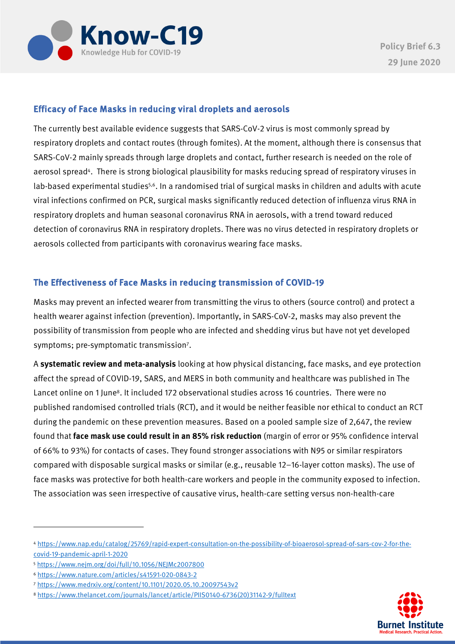

### Efficacy of Face Masks in reducing viral droplets and aerosols

The currently best available evidence suggests that SARS-CoV-2 virus is most commonly spread by respiratory droplets and contact routes (through fomites). At the moment, although there is consensus that SARS-CoV-2 mainly spreads through large droplets and contact, further research is needed on the role of aerosol spread<sup>4</sup>. There is strong biological plausibility for masks reducing spread of respiratory viruses in lab-based experimental studies<sup>5,6</sup>. In a randomised trial of surgical masks in children and adults with acute viral infections confirmed on PCR, surgical masks significantly reduced detection of influenza virus RNA in respiratory droplets and human seasonal coronavirus RNA in aerosols, with a trend toward reduced detection of coronavirus RNA in respiratory droplets. There was no virus detected in respiratory droplets or aerosols collected from participants with coronavirus wearing face masks.

#### The Effectiveness of Face Masks in reducing transmission of COVID-19

Masks may prevent an infected wearer from transmitting the virus to others (source control) and protect a health wearer against infection (prevention). Importantly, in SARS-CoV-2, masks may also prevent the possibility of transmission from people who are infected and shedding virus but have not yet developed symptoms; pre-symptomatic transmission7.

A **systematic review and meta-analysis** looking at how physical distancing, face masks, and eye protection affect the spread of COVID-19, SARS, and MERS in both community and healthcare was published in The Lancet online on 1 June<sup>8</sup>. It included 172 observational studies across 16 countries. There were no published randomised controlled trials (RCT), and it would be neither feasible nor ethical to conduct an RCT during the pandemic on these prevention measures. Based on a pooled sample size of 2,647, the review found that **face mask use could result in an 85% risk reduction** (margin of error or 95% confidence interval of 66% to 93%) for contacts of cases. They found stronger associations with N95 or similar respirators compared with disposable surgical masks or similar (e.g., reusable 12–16-layer cotton masks). The use of face masks was protective for both health-care workers and people in the community exposed to infection. The association was seen irrespective of causative virus, health-care setting versus non-health-care



<sup>4</sup> https://www.nap.edu/catalog/25769/rapid-expert-consultation-on-the-possibility-of-bioaerosol-spread-of-sars-cov-2-for-thecovid-19-pandemic-april-1-2020

<sup>5</sup> https://www.nejm.org/doi/full/10.1056/NEJMc2007800

<sup>6</sup> https://www.nature.com/articles/s41591-020-0843-2

<sup>7</sup> https://www.medrxiv.org/content/10.1101/2020.05.10.20097543v2

<sup>8</sup> https://www.thelancet.com/journals/lancet/article/PIIS0140-6736(20)31142-9/fulltext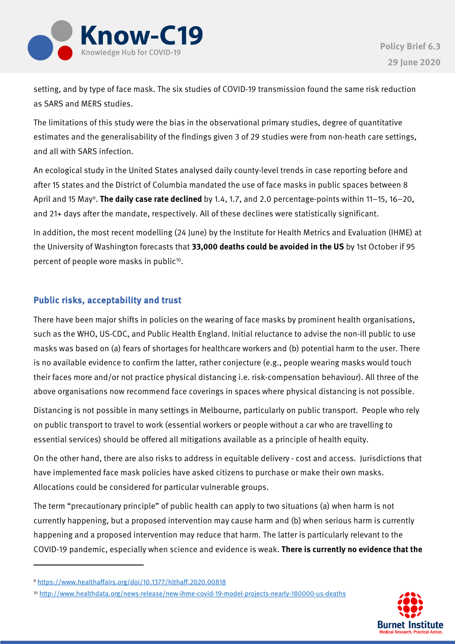

setting, and by type of face mask. The six studies of COVID-19 transmission found the same risk reduction as SARS and MERS studies.

The limitations of this study were the bias in the observational primary studies, degree of quantitative estimates and the generalisability of the findings given 3 of 29 studies were from non-heath care settings, and all with SARS infection.

An ecological study in the United States analysed daily county-level trends in case reporting before and after 15 states and the District of Columbia mandated the use of face masks in public spaces between 8 April and 15 May9. **The daily case rate declined** by 1.4, 1.7, and 2.0 percentage-points within 11–15, 16–20, and 21+ days after the mandate, respectively. All of these declines were statistically significant.

In addition, the most recent modelling (24 June) by the Institute for Health Metrics and Evaluation (IHME) at the University of Washington forecasts that **33,000 deaths could be avoided in the US** by 1st October if 95 percent of people wore masks in public<sup>10</sup>.

## Public risks, acceptability and trust

There have been major shifts in policies on the wearing of face masks by prominent health organisations, such as the WHO, US-CDC, and Public Health England. Initial reluctance to advise the non-ill public to use masks was based on (a) fears of shortages for healthcare workers and (b) potential harm to the user. There is no available evidence to confirm the latter, rather conjecture (e.g., people wearing masks would touch their faces more and/or not practice physical distancing i.e. risk-compensation behaviour). All three of the above organisations now recommend face coverings in spaces where physical distancing is not possible.

Distancing is not possible in many settings in Melbourne, particularly on public transport. People who rely on public transport to travel to work (essential workers or people without a car who are travelling to essential services) should be offered all mitigations available as a principle of health equity.

On the other hand, there are also risks to address in equitable delivery - cost and access. Jurisdictions that have implemented face mask policies have asked citizens to purchase or make their own masks. Allocations could be considered for particular vulnerable groups.

The term "precautionary principle" of public health can apply to two situations (a) when harm is not currently happening, but a proposed intervention may cause harm and (b) when serious harm is currently happening and a proposed intervention may reduce that harm. The latter is particularly relevant to the COVID-19 pandemic, especially when science and evidence is weak. **There is currently no evidence that the** 

<sup>10</sup> http://www.healthdata.org/news-release/new-ihme-covid-19-model-projects-nearly-180000-us-deaths



<sup>9</sup> https://www.healthaffairs.org/doi/10.1377/hlthaff.2020.00818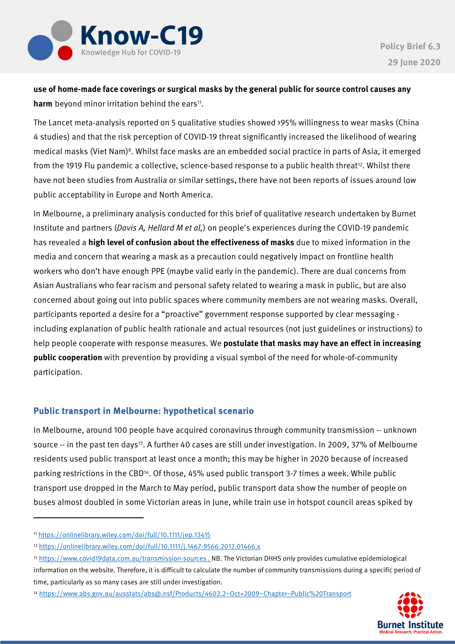

**use of home-made face coverings or surgical masks by the general public for source control causes any harm** beyond minor irritation behind the ears<sup>11</sup>.

The Lancet meta-analysis reported on 5 qualitative studies showed >95% willingness to wear masks (China 4 studies) and that the risk perception of COVID-19 threat significantly increased the likelihood of wearing medical masks (Viet Nam)<sup>8</sup>. Whilst face masks are an embedded social practice in parts of Asia, it emerged from the 1919 Flu pandemic a collective, science-based response to a public health threat<sup>12</sup>. Whilst there have not been studies from Australia or similar settings, there have not been reports of issues around low public acceptability in Europe and North America.

In Melbourne, a preliminary analysis conducted for this brief of qualitative research undertaken by Burnet Institute and partners (Davis A, Hellard M et al,) on people's experiences during the COVID-19 pandemic has revealed a **high level of confusion about the effectiveness of masks** due to mixed information in the media and concern that wearing a mask as a precaution could negatively impact on frontline health workers who don't have enough PPE (maybe valid early in the pandemic). There are dual concerns from Asian Australians who fear racism and personal safety related to wearing a mask in public, but are also concerned about going out into public spaces where community members are not wearing masks. Overall, participants reported a desire for a "proactive" government response supported by clear messaging including explanation of public health rationale and actual resources (not just guidelines or instructions) to help people cooperate with response measures. We **postulate that masks may have an effect in increasing public cooperation** with prevention by providing a visual symbol of the need for whole-of-community participation.

#### Public transport in Melbourne: hypothetical scenario

In Melbourne, around 100 people have acquired coronavirus through community transmission -- unknown source -- in the past ten days<sup>13</sup>. A further 40 cases are still under investigation. In 2009, 37% of Melbourne residents used public transport at least once a month; this may be higher in 2020 because of increased parking restrictions in the CBD14. Of those, 45% used public transport 3-7 times a week. While public transport use dropped in the March to May period, public transport data show the number of people on buses almost doubled in some Victorian areas in June, while train use in hotspot council areas spiked by

<sup>14</sup> https://www.abs.gov.au/ausstats/abs@.nsf/Products/4602.2~Oct+2009~Chapter~Public%20Transport



<sup>11</sup> https://onlinelibrary.wiley.com/doi/full/10.1111/jep.13415

<sup>12</sup> https://onlinelibrary.wiley.com/doi/full/10.1111/j.1467-9566.2012.01466.x

<sup>13</sup> https://www.covid19data.com.au/transmission-sources . NB. The Victorian DHHS only provides cumulative epidemiological information on the website. Therefore, it is difficult to calculate the number of community transmissions during a specific period of time, particularly as so many cases are still under investigation.